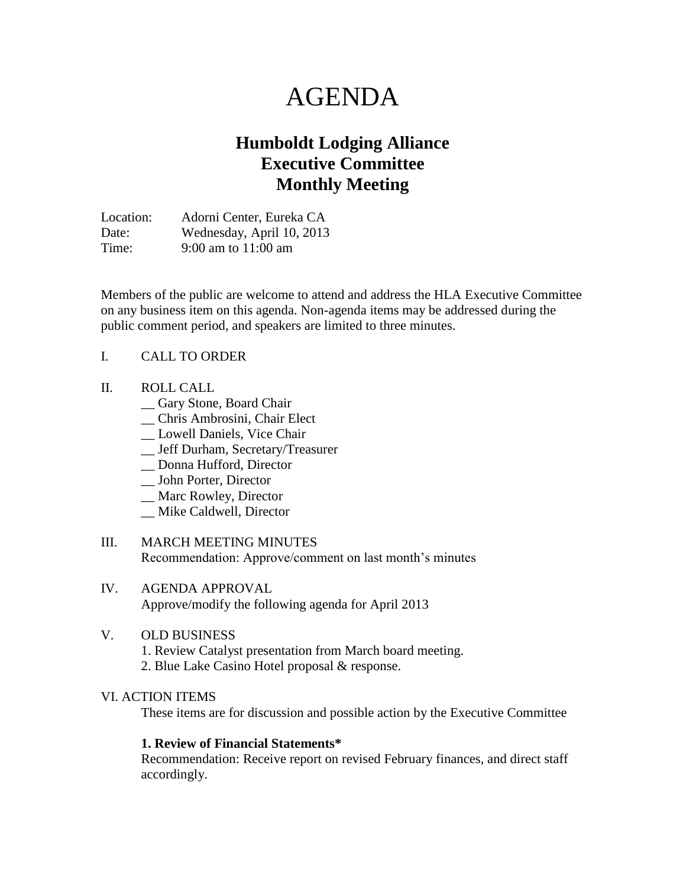# AGENDA

# **Humboldt Lodging Alliance Executive Committee Monthly Meeting**

Location: Adorni Center, Eureka CA Date: Wednesday, April 10, 2013 Time: 9:00 am to 11:00 am

Members of the public are welcome to attend and address the HLA Executive Committee on any business item on this agenda. Non-agenda items may be addressed during the public comment period, and speakers are limited to three minutes.

#### I. CALL TO ORDER

#### II. ROLL CALL

- \_\_ Gary Stone, Board Chair
- \_\_ Chris Ambrosini, Chair Elect
- \_\_ Lowell Daniels, Vice Chair
- \_\_ Jeff Durham, Secretary/Treasurer
- \_\_ Donna Hufford, Director
- \_\_ John Porter, Director
- \_\_ Marc Rowley, Director
- \_\_ Mike Caldwell, Director
- III. MARCH MEETING MINUTES Recommendation: Approve/comment on last month's minutes

#### IV. AGENDA APPROVAL Approve/modify the following agenda for April 2013

#### V. OLD BUSINESS

1. Review Catalyst presentation from March board meeting. 2. Blue Lake Casino Hotel proposal & response.

#### VI. ACTION ITEMS

These items are for discussion and possible action by the Executive Committee

#### **1. Review of Financial Statements\***

Recommendation: Receive report on revised February finances, and direct staff accordingly.